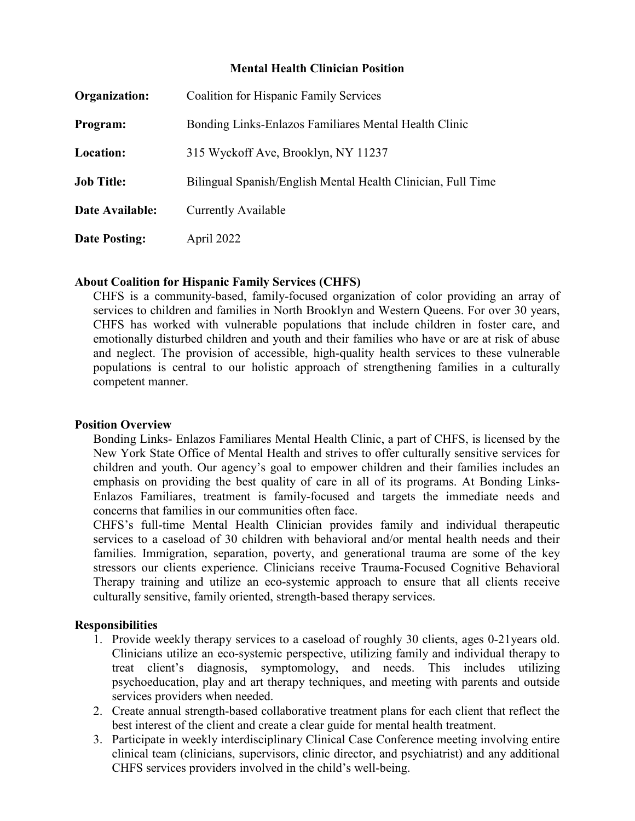#### **Mental Health Clinician Position**

| Organization:        | <b>Coalition for Hispanic Family Services</b>                |
|----------------------|--------------------------------------------------------------|
| Program:             | Bonding Links-Enlazos Familiares Mental Health Clinic        |
| Location:            | 315 Wyckoff Ave, Brooklyn, NY 11237                          |
| <b>Job Title:</b>    | Bilingual Spanish/English Mental Health Clinician, Full Time |
| Date Available:      | Currently Available                                          |
| <b>Date Posting:</b> | April 2022                                                   |

#### **About Coalition for Hispanic Family Services (CHFS)**

CHFS is a community-based, family-focused organization of color providing an array of services to children and families in North Brooklyn and Western Queens. For over 30 years, CHFS has worked with vulnerable populations that include children in foster care, and emotionally disturbed children and youth and their families who have or are at risk of abuse and neglect. The provision of accessible, high-quality health services to these vulnerable populations is central to our holistic approach of strengthening families in a culturally competent manner.

#### **Position Overview**

Bonding Links- Enlazos Familiares Mental Health Clinic, a part of CHFS, is licensed by the New York State Office of Mental Health and strives to offer culturally sensitive services for children and youth. Our agency's goal to empower children and their families includes an emphasis on providing the best quality of care in all of its programs. At Bonding Links-Enlazos Familiares, treatment is family-focused and targets the immediate needs and concerns that families in our communities often face.

CHFS's full-time Mental Health Clinician provides family and individual therapeutic services to a caseload of 30 children with behavioral and/or mental health needs and their families. Immigration, separation, poverty, and generational trauma are some of the key stressors our clients experience. Clinicians receive Trauma-Focused Cognitive Behavioral Therapy training and utilize an eco-systemic approach to ensure that all clients receive culturally sensitive, family oriented, strength-based therapy services.

# **Responsibilities**

- 1. Provide weekly therapy services to a caseload of roughly 30 clients, ages 0-21years old. Clinicians utilize an eco-systemic perspective, utilizing family and individual therapy to treat client's diagnosis, symptomology, and needs. This includes utilizing psychoeducation, play and art therapy techniques, and meeting with parents and outside services providers when needed.
- 2. Create annual strength-based collaborative treatment plans for each client that reflect the best interest of the client and create a clear guide for mental health treatment.
- 3. Participate in weekly interdisciplinary Clinical Case Conference meeting involving entire clinical team (clinicians, supervisors, clinic director, and psychiatrist) and any additional CHFS services providers involved in the child's well-being.